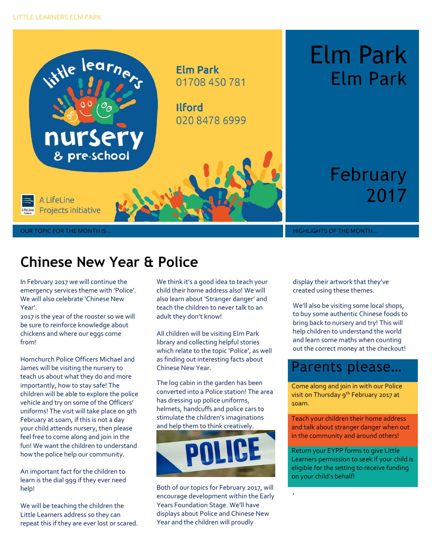

# Elm Park Elm Park

February 2017

OUR TOPIC FOR THE MONTH IS… THE MONTH IS… A REPORT OF THE MONTH… HIGHLIGHTS OF THE MONTH…

## **Chinese New Year & Police**

In February 2017 we will continue the emergency services theme with 'Police'. We will also celebrate 'Chinese New Year'.

2017 is the year of the rooster so we will be sure to reinforce knowledge about chickens and where our eggs come from!

Hornchurch Police Officers Michael and James will be visiting the nursery to teach us about what they do and more importantly, how to stay safe! The children will be able to explore the police vehicle and try on some of the Officers' uniforms! The visit will take place on 9th February at 10am, if this is not a day your child attends nursery, then please feel free to come along and join in the fun! We want the children to understand how the police help our community.

An important fact for the children to learn is the dial 999 if they ever need help!

We will be teaching the children the Little Learners address so they can repeat this if they are ever lost or scared. We think it's a good idea to teach your child their home address also! We will also learn about 'Stranger danger' and teach the children to never talk to an adult they don't know!

All children will be visiting Elm Park library and collecting helpful stories which relate to the topic 'Police', as well as finding out interesting facts about Chinese New Year.

The log cabin in the garden has been converted into a Police station! The area has dressing up police uniforms, helmets, handcuffs and police cars to stimulate the children's imaginations and help them to think creatively.



Both of our topics for February 2017, will encourage development within the Early Years Foundation Stage. We'll have displays about Police and Chinese New Year and the children will proudly

display their artwork that they've created using these themes.

We'll also be visiting some local shops, to buy some authentic Chinese foods to bring back to nursery and try! This will help children to understand the world and learn some maths when counting out the correct money at the checkout!

### Parents please…

Come along and join in with our Police visit on Thursday 9<sup>th</sup> February 2017 at 10am.

Teach your children their home address and talk about stranger danger when out in the community and around others!

Return your EYPP forms to give Little Learners permission to seek if your child is eligible for the setting to receive funding on your child's behalf!

,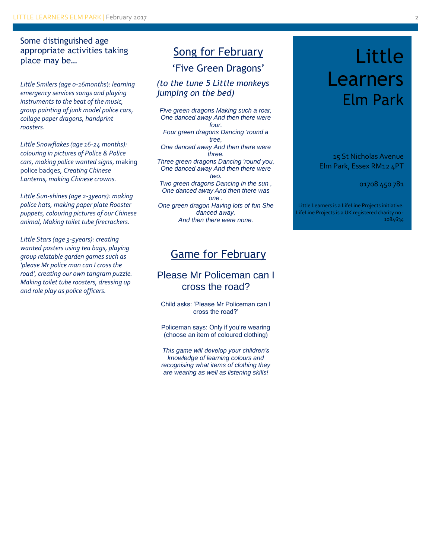Some distinguished age appropriate activities taking place may be…

*Little Smilers (age 0-16months*): *learning emergency services songs and playing instruments to the beat of the music, group painting of junk model police cars*, *collage paper dragons, handprint roosters.*

*Little Snowflakes (age 16-24 months): colouring in pictures of Police & Police cars, making police wanted signs*, making police badges, *Creating Chinese Lanterns, making Chinese crowns.*

*Little Sun-shines (age 2-3years): making police hats, making paper plate Rooster puppets, colouring pictures of our Chinese animal, Making toilet tube firecrackers.*

*Little Stars (age 3-5years): creating wanted posters using tea bags, playing group relatable garden games such as 'please Mr police man can I cross the road', creating our own tangram puzzle. Making toilet tube roosters, dressing up and role play as police officers.* 

#### Song for February

'Five Green Dragons'

*(to the tune 5 Little monkeys jumping on the bed)*

*Five green dragons Making such a roar, One danced away And then there were four. Four green dragons Dancing 'round a tree, One danced away And then there were three. Three green dragons Dancing 'round you, One danced away And then there were two. Two green dragons Dancing in the sun , One danced away And then there was one . One green dragon Having lots of fun She danced away, And then there were none.*

#### Game for February

#### Please Mr Policeman can I cross the road?

Child asks: 'Please Mr Policeman can I cross the road?'

Policeman says: Only if you're wearing (choose an item of coloured clothing)

*This game will develop your children's knowledge of learning colours and recognising what items of clothing they are wearing as well as listening skills!*

## Little Learners Elm Park

15 St Nicholas Avenue Elm Park, Essex RM12 4PT

01708 450 781

Little Learners is a LifeLine Projects initiative. LifeLine Projects is a UK registered charity no : 1084634